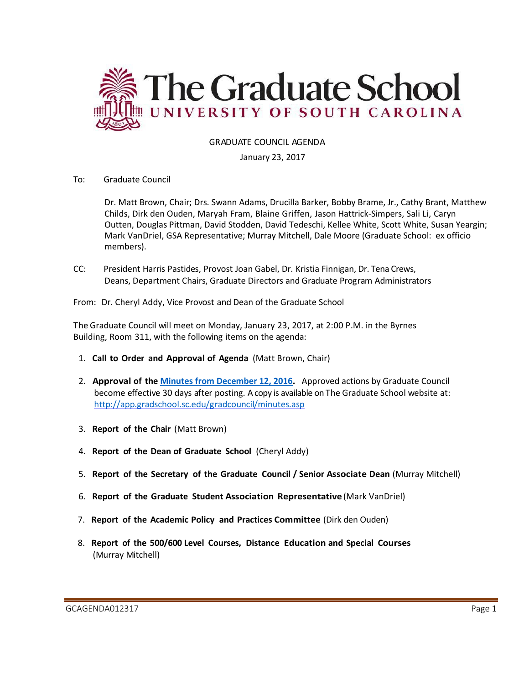

# GRADUATE COUNCIL AGENDA

### January 23, 2017

To: Graduate Council

Dr. Matt Brown, Chair; Drs. Swann Adams, Drucilla Barker, Bobby Brame, Jr., Cathy Brant, Matthew Childs, Dirk den Ouden, Maryah Fram, Blaine Griffen, Jason Hattrick-Simpers, Sali Li, Caryn Outten, Douglas Pittman, David Stodden, David Tedeschi, Kellee White, Scott White, Susan Yeargin; Mark VanDriel, GSA Representative; Murray Mitchell, Dale Moore (Graduate School: ex officio members).

CC: President Harris Pastides, Provost Joan Gabel, Dr. Kristia Finnigan, Dr. Tena Crews, Deans, Department Chairs, Graduate Directors and Graduate Program Administrators

From: Dr. Cheryl Addy, Vice Provost and Dean of the Graduate School

The Graduate Council will meet on Monday, January 23, 2017, at 2:00 P.M. in the Byrnes Building, Room 311, with the following items on the agenda:

- 1. **Call to Order and Approval of Agenda** (Matt Brown, Chair)
- 2. **Approval of the [Minutes from December 12, 2016.](http://gradschool.sc.edu/facstaff/gradcouncil/2016/GCMINUTES%2012.12.16.pdf)** Approved actions by Graduate Council become effective 30 days after posting. A copy is available on The Graduate School website at: <http://app.gradschool.sc.edu/gradcouncil/minutes.asp>
- 3. **Report of the Chair** (Matt Brown)
- 4. **Report of the Dean of Graduate School** (Cheryl Addy)
- 5. **Report of the Secretary of the Graduate Council / Senior Associate Dean** (Murray Mitchell)
- 6. **Report of the Graduate Student Association Representative** (Mark VanDriel)
- 7. **Report of the Academic Policy and Practices Committee** (Dirk den Ouden)
- 8. **Report of the 500/600 Level Courses, Distance Education and Special Courses** (Murray Mitchell)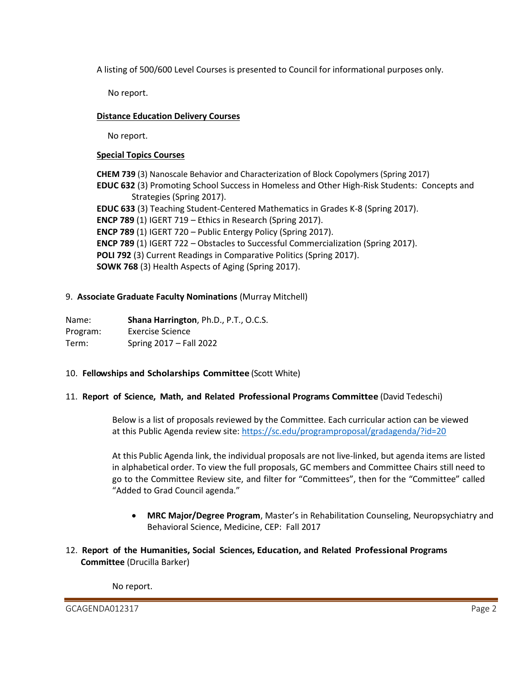A listing of 500/600 Level Courses is presented to Council for informational purposes only.

No report.

# **Distance Education Delivery Courses**

No report.

### **Special Topics Courses**

**CHEM 739** (3) Nanoscale Behavior and Characterization of Block Copolymers (Spring 2017) **EDUC 632** (3) Promoting School Success in Homeless and Other High-Risk Students: Concepts and Strategies (Spring 2017). **EDUC 633** (3) Teaching Student-Centered Mathematics in Grades K-8 (Spring 2017). **ENCP 789** (1) IGERT 719 – Ethics in Research (Spring 2017). **ENCP 789** (1) IGERT 720 – Public Entergy Policy (Spring 2017). **ENCP 789** (1) IGERT 722 – Obstacles to Successful Commercialization (Spring 2017). **POLI 792** (3) Current Readings in Comparative Politics (Spring 2017). **SOWK 768** (3) Health Aspects of Aging (Spring 2017).

# 9. **Associate Graduate Faculty Nominations** (Murray Mitchell)

Name: **Shana Harrington**, Ph.D., P.T., O.C.S. Program: Exercise Science Term: Spring 2017 – Fall 2022

### 10. **Fellowships and Scholarships Committee** (Scott White)

### 11. **Report of Science, Math, and Related Professional Programs Committee** (David Tedeschi)

Below is a list of proposals reviewed by the Committee. Each curricular action can be viewed at this Public Agenda review site: <https://sc.edu/programproposal/gradagenda/?id=20>

At this Public Agenda link, the individual proposals are not live-linked, but agenda items are listed in alphabetical order. To view the full proposals, GC members and Committee Chairs still need to go to the Committee Review site, and filter for "Committees", then for the "Committee" called "Added to Grad Council agenda."

- **MRC Major/Degree Program**, Master's in Rehabilitation Counseling, Neuropsychiatry and Behavioral Science, Medicine, CEP: Fall 2017
- 12. **Report of the Humanities, Social Sciences, Education, and Related Professional Programs Committee** (Drucilla Barker)

No report.